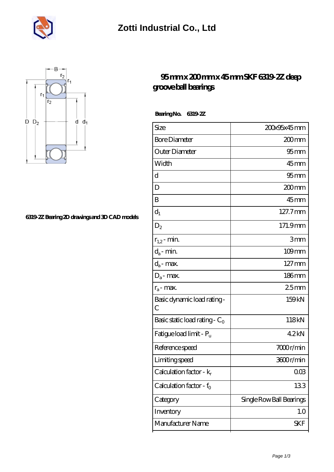



## **[6319-2Z Bearing 2D drawings and 3D CAD models](https://m.musik-graz.net/pic-41029.html)**

## **[95 mm x 200 mm x 45 mm SKF 6319-2Z deep](https://m.musik-graz.net/af-41029-skf-6319-2z-deep-groove-ball-bearings.html) [groove ball bearings](https://m.musik-graz.net/af-41029-skf-6319-2z-deep-groove-ball-bearings.html)**

 **Bearing No. 6319-2Z**

| Size                                         | 200x95x45mm              |
|----------------------------------------------|--------------------------|
| <b>Bore Diameter</b>                         | 200mm                    |
| Outer Diameter                               | $95 \text{mm}$           |
| Width                                        | 45mm                     |
| d                                            | $95 \text{mm}$           |
| D                                            | 200mm                    |
| B                                            | $45$ mm                  |
| $d_1$                                        | 127.7mm                  |
| $\mathrm{D}_2$                               | 171.9mm                  |
| $r_{1,2}$ - min.                             | 3mm                      |
| $d_a$ - min.                                 | $109$ mm                 |
| $d_a$ - max.                                 | $127 \,\mathrm{mm}$      |
| $D_a$ - max.                                 | $186$ mm                 |
| $r_a$ - max.                                 | 25mm                     |
| Basic dynamic load rating -<br>$\mathcal{C}$ | 159kN                    |
| Basic static load rating - $C_0$             | 118kN                    |
| Fatigue load limit - P <sub>u</sub>          | 42kN                     |
| Reference speed                              | 7000r/min                |
| Limiting speed                               | 3600r/min                |
| Calculation factor - $k_r$                   | 003                      |
| Calculation factor - $f_0$                   | 133                      |
| Category                                     | Single Row Ball Bearings |
| Inventory                                    | 1.0                      |
| Manufacturer Name                            | SKF                      |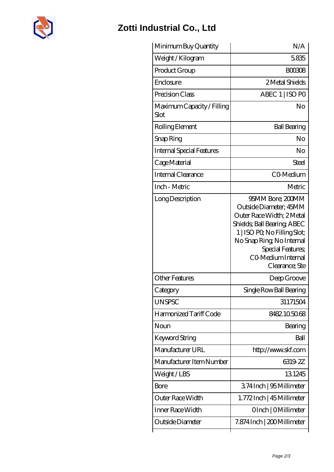

## **[Zotti Industrial Co., Ltd](https://m.musik-graz.net)**

| Minimum Buy Quantity               | N/A                                                                                                                                                                                                                             |
|------------------------------------|---------------------------------------------------------------------------------------------------------------------------------------------------------------------------------------------------------------------------------|
| Weight/Kilogram                    | 5835                                                                                                                                                                                                                            |
| Product Group                      | <b>BOO308</b>                                                                                                                                                                                                                   |
| Enclosure                          | 2 Metal Shields                                                                                                                                                                                                                 |
| Precision Class                    | ABEC 1   ISO PO                                                                                                                                                                                                                 |
| Maximum Capacity / Filling<br>Slot | No                                                                                                                                                                                                                              |
| Rolling Element                    | <b>Ball Bearing</b>                                                                                                                                                                                                             |
| Snap Ring                          | No                                                                                                                                                                                                                              |
| Internal Special Features          | No                                                                                                                                                                                                                              |
| Cage Material                      | Steel                                                                                                                                                                                                                           |
| Internal Clearance                 | CO-Medium                                                                                                                                                                                                                       |
| Inch - Metric                      | Metric                                                                                                                                                                                                                          |
| Long Description                   | 95MM Bore; 200MM<br>Outside Diameter; 45MM<br>Outer Race Width; 2Metal<br>Shields; Ball Bearing; ABEC<br>1   ISO PO, No Filling Slot;<br>No Snap Ring, No Internal<br>Special Features,<br>CO Medium Internal<br>Clearance; Ste |
| <b>Other Features</b>              | Deep Groove                                                                                                                                                                                                                     |
| Category                           | Single Row Ball Bearing                                                                                                                                                                                                         |
| <b>UNSPSC</b>                      | 31171504                                                                                                                                                                                                                        |
| Harmonized Tariff Code             | 8482.105068                                                                                                                                                                                                                     |
| Noun                               | Bearing                                                                                                                                                                                                                         |
| Keyword String                     | Ball                                                                                                                                                                                                                            |
| Manufacturer URL                   | http://www.skf.com                                                                                                                                                                                                              |
| Manufacturer Item Number           | 6319-2Z                                                                                                                                                                                                                         |
| Weight/LBS                         | 131245                                                                                                                                                                                                                          |
| Bore                               | 374Inch   95 Millimeter                                                                                                                                                                                                         |
| Outer Race Width                   | 1.772Inch   45 Millimeter                                                                                                                                                                                                       |
| Inner Race Width                   | OInch   OMillimeter                                                                                                                                                                                                             |
| Outside Diameter                   | 7.874 Inch   200 Millimeter                                                                                                                                                                                                     |